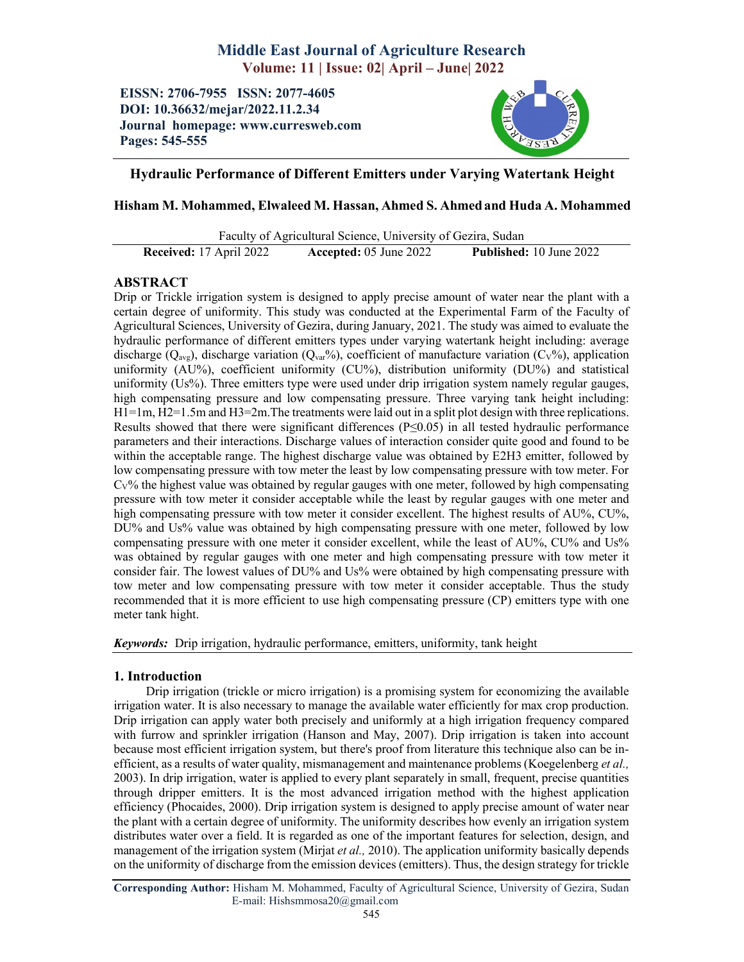# Middle East Journal of Agriculture Research Volume: 11 | Issue: 02| April – June| 2022

EISSN: 2706-7955 ISSN: 2077-4605 DOI: 10.36632/mejar/2022.11.2.34 Journal homepage: www.curresweb.com Pages: 545-555



# Hydraulic Performance of Different Emitters under Varying Watertank Height

# Hisham M. Mohammed, Elwaleed M. Hassan, Ahmed S. Ahmedand Huda A. Mohammed

Faculty of Agricultural Science, University of Gezira, Sudan

Received: 17 April 2022 Accepted: 05 June 2022 Published: 10 June 2022

# ABSTRACT

Drip or Trickle irrigation system is designed to apply precise amount of water near the plant with a certain degree of uniformity. This study was conducted at the Experimental Farm of the Faculty of Agricultural Sciences, University of Gezira, during January, 2021. The study was aimed to evaluate the hydraulic performance of different emitters types under varying watertank height including: average discharge (Q<sub>avg</sub>), discharge variation (Q<sub>var</sub>%), coefficient of manufacture variation (C<sub>v</sub>%), application uniformity (AU%), coefficient uniformity (CU%), distribution uniformity (DU%) and statistical uniformity (Us%). Three emitters type were used under drip irrigation system namely regular gauges, high compensating pressure and low compensating pressure. Three varying tank height including: H1=1m, H2=1.5m and H3=2m.The treatments were laid out in a split plot design with three replications. Results showed that there were significant differences ( $P \le 0.05$ ) in all tested hydraulic performance parameters and their interactions. Discharge values of interaction consider quite good and found to be within the acceptable range. The highest discharge value was obtained by E2H3 emitter, followed by low compensating pressure with tow meter the least by low compensating pressure with tow meter. For  $C_V$ % the highest value was obtained by regular gauges with one meter, followed by high compensating pressure with tow meter it consider acceptable while the least by regular gauges with one meter and high compensating pressure with tow meter it consider excellent. The highest results of AU%, CU%, DU% and Us% value was obtained by high compensating pressure with one meter, followed by low compensating pressure with one meter it consider excellent, while the least of AU%, CU% and Us% was obtained by regular gauges with one meter and high compensating pressure with tow meter it consider fair. The lowest values of DU% and Us% were obtained by high compensating pressure with tow meter and low compensating pressure with tow meter it consider acceptable. Thus the study recommended that it is more efficient to use high compensating pressure (CP) emitters type with one meter tank hight.

*Keywords:* Drip irrigation, hydraulic performance, emitters, uniformity, tank height

# 1. Introduction

Drip irrigation (trickle or micro irrigation) is a promising system for economizing the available irrigation water. It is also necessary to manage the available water efficiently for max crop production. Drip irrigation can apply water both precisely and uniformly at a high irrigation frequency compared with furrow and sprinkler irrigation (Hanson and May, 2007). Drip irrigation is taken into account because most efficient irrigation system, but there's proof from literature this technique also can be inefficient, as a results of water quality, mismanagement and maintenance problems (Koegelenberg *et al.,* 2003). In drip irrigation, water is applied to every plant separately in small, frequent, precise quantities through dripper emitters. It is the most advanced irrigation method with the highest application efficiency (Phocaides, 2000). Drip irrigation system is designed to apply precise amount of water near the plant with a certain degree of uniformity. The uniformity describes how evenly an irrigation system distributes water over a field. It is regarded as one of the important features for selection, design, and management of the irrigation system (Mirjat *et al.,* 2010). The application uniformity basically depends on the uniformity of discharge from the emission devices (emitters). Thus, the design strategy for trickle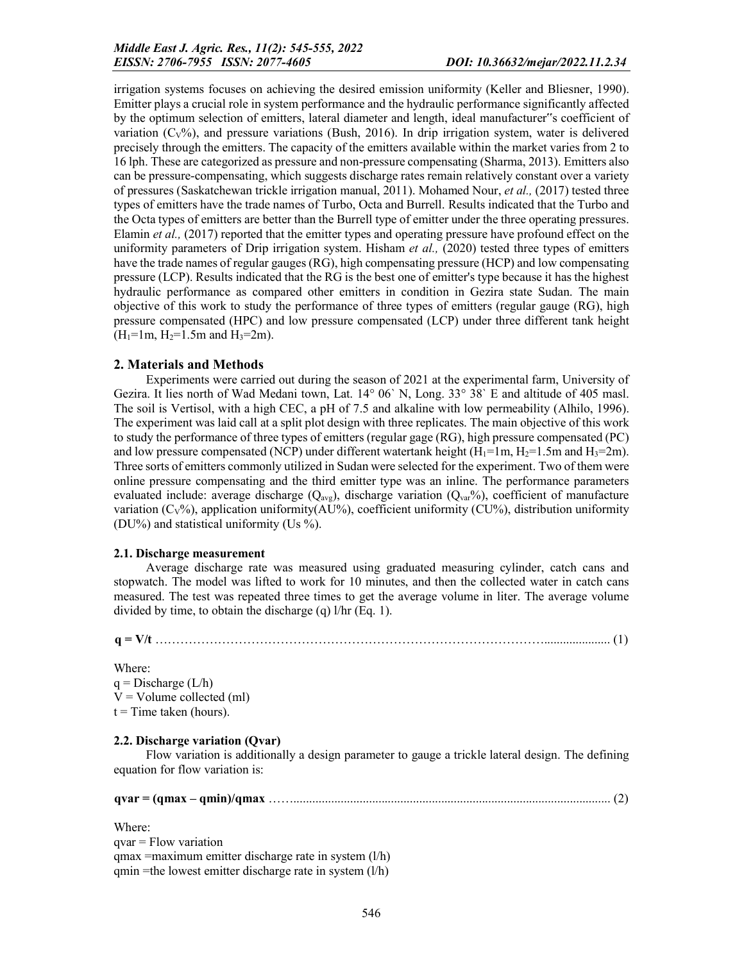irrigation systems focuses on achieving the desired emission uniformity (Keller and Bliesner, 1990). Emitter plays a crucial role in system performance and the hydraulic performance significantly affected by the optimum selection of emitters, lateral diameter and length, ideal manufacturer"s coefficient of variation  $(C_V\%)$ , and pressure variations (Bush, 2016). In drip irrigation system, water is delivered precisely through the emitters. The capacity of the emitters available within the market varies from 2 to 16 lph. These are categorized as pressure and non-pressure compensating (Sharma, 2013). Emitters also can be pressure-compensating, which suggests discharge rates remain relatively constant over a variety of pressures (Saskatchewan trickle irrigation manual, 2011). Mohamed Nour, *et al.,* (2017) tested three types of emitters have the trade names of Turbo, Octa and Burrell. Results indicated that the Turbo and the Octa types of emitters are better than the Burrell type of emitter under the three operating pressures. Elamin *et al.,* (2017) reported that the emitter types and operating pressure have profound effect on the uniformity parameters of Drip irrigation system. Hisham *et al.,* (2020) tested three types of emitters have the trade names of regular gauges (RG), high compensating pressure (HCP) and low compensating pressure (LCP). Results indicated that the RG is the best one of emitter's type because it has the highest hydraulic performance as compared other emitters in condition in Gezira state Sudan. The main objective of this work to study the performance of three types of emitters (regular gauge (RG), high pressure compensated (HPC) and low pressure compensated (LCP) under three different tank height  $(H_1=1m, H_2=1.5m$  and  $H_3=2m$ ).

## 2. Materials and Methods

Experiments were carried out during the season of 2021 at the experimental farm, University of Gezira. It lies north of Wad Medani town, Lat. 14° 06ˋ N, Long. 33° 38ˋ E and altitude of 405 masl. The soil is Vertisol, with a high CEC, a pH of 7.5 and alkaline with low permeability (Alhilo, 1996). The experiment was laid call at a split plot design with three replicates. The main objective of this work to study the performance of three types of emitters (regular gage (RG), high pressure compensated (PC) and low pressure compensated (NCP) under different watertank height ( $H_1=1$ m,  $H_2=1.5$ m and  $H_3=2$ m). Three sorts of emitters commonly utilized in Sudan were selected for the experiment. Two of them were online pressure compensating and the third emitter type was an inline. The performance parameters evaluated include: average discharge ( $Q_{avg}$ ), discharge variation ( $Q_{var}$ %), coefficient of manufacture variation  $(C_V\%)$ , application uniformity(AU%), coefficient uniformity (CU%), distribution uniformity (DU%) and statistical uniformity (Us %).

### 2.1. Discharge measurement

Average discharge rate was measured using graduated measuring cylinder, catch cans and stopwatch. The model was lifted to work for 10 minutes, and then the collected water in catch cans measured. The test was repeated three times to get the average volume in liter. The average volume divided by time, to obtain the discharge (q)  $1/hr$  (Eq. 1).

q = V/t …………………………………………………………………………………..................... (1)

Where:

 $q = Discharge (L/h)$  $V =$  Volume collected (ml)  $t =$ Time taken (hours).

# 2.2. Discharge variation (Qvar)

Flow variation is additionally a design parameter to gauge a trickle lateral design. The defining equation for flow variation is:

|  | $qvar = (qmax -$ |  |  |  |  |
|--|------------------|--|--|--|--|
|--|------------------|--|--|--|--|

Where:

qvar = Flow variation  $q$ max =maximum emitter discharge rate in system  $(l/h)$ qmin =the lowest emitter discharge rate in system (l/h)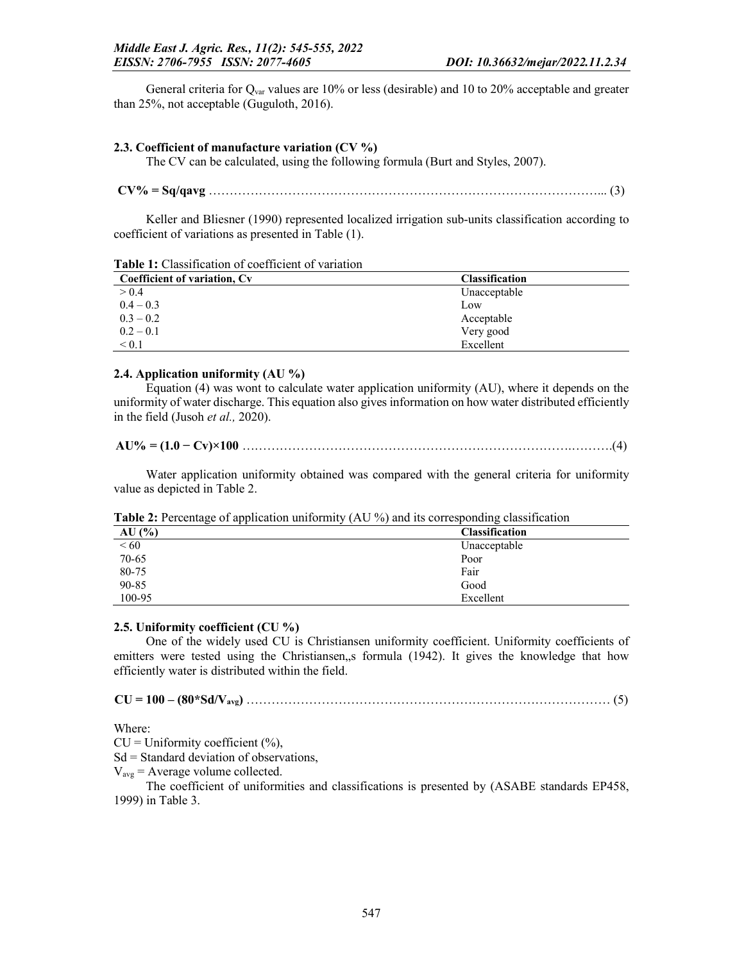General criteria for  $Q_{\text{var}}$  values are 10% or less (desirable) and 10 to 20% acceptable and greater than 25%, not acceptable (Guguloth, 2016).

## 2.3. Coefficient of manufacture variation (CV %)

The CV can be calculated, using the following formula (Burt and Styles, 2007).

|--|--|

Keller and Bliesner (1990) represented localized irrigation sub-units classification according to coefficient of variations as presented in Table (1).

Table 1: Classification of coefficient of variation

| Coefficient of variation, Cv | <b>Classification</b> |
|------------------------------|-----------------------|
| > 0.4                        | Unacceptable          |
| $0.4 - 0.3$                  | Low                   |
| $0.3 - 0.2$                  | Acceptable            |
| $0.2 - 0.1$                  | Very good             |
| $\leq 0.1$                   | Excellent             |

### 2.4. Application uniformity (AU %)

Equation (4) was wont to calculate water application uniformity (AU), where it depends on the uniformity of water discharge. This equation also gives information on how water distributed efficiently in the field (Jusoh *et al.,* 2020).

AU% = (1.0 − Cv)×100 …………………………………………………………………….……….(4)

Water application uniformity obtained was compared with the general criteria for uniformity value as depicted in Table 2.

Table 2: Percentage of application uniformity (AU %) and its corresponding classification

| AU(%)     | <b>Classification</b> |
|-----------|-----------------------|
| < 60      | Unacceptable          |
| $70 - 65$ | Poor                  |
| 80-75     | Fair                  |
| 90-85     | Good                  |
| 100-95    | Excellent             |

# 2.5. Uniformity coefficient (CU %)

One of the widely used CU is Christiansen uniformity coefficient. Uniformity coefficients of emitters were tested using the Christiansen, s formula (1942). It gives the knowledge that how efficiently water is distributed within the field.

Where:

 $CU = Uniformity coefficient (%)$ ,

 $Sd =$  Standard deviation of observations,

 $V_{\text{avg}}$  = Average volume collected.

The coefficient of uniformities and classifications is presented by (ASABE standards EP458, 1999) in Table 3.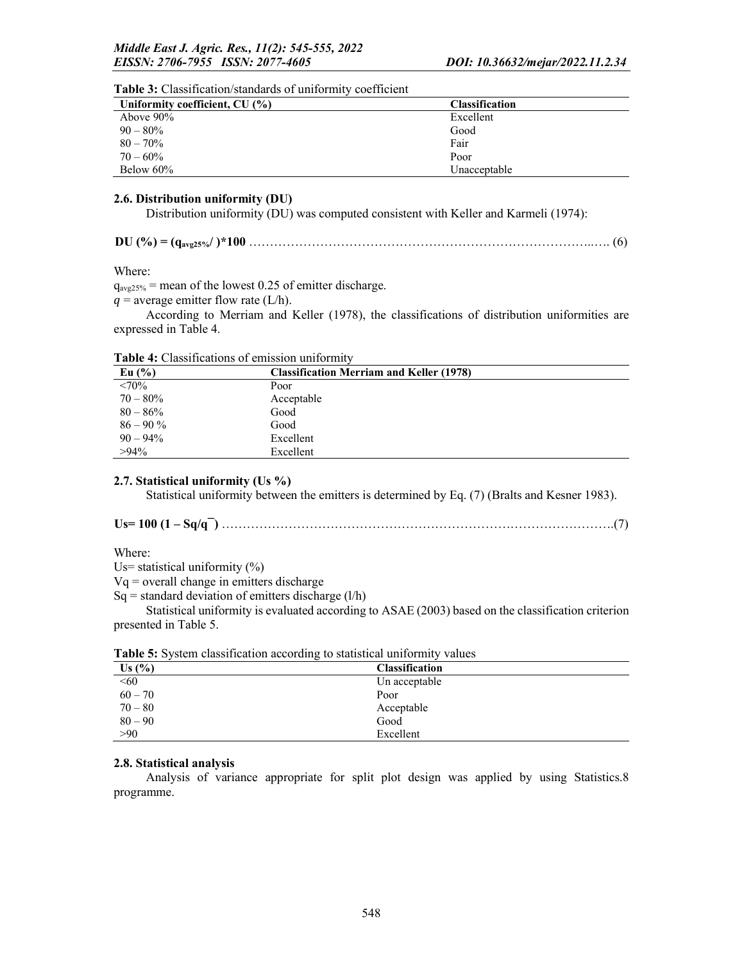| <b>Table 5:</b> Classification standards of uniformity cocriticities |                       |  |
|----------------------------------------------------------------------|-----------------------|--|
| Uniformity coefficient, CU (%)                                       | <b>Classification</b> |  |
| Above $90\%$                                                         | Excellent             |  |
| $90 - 80\%$                                                          | Good                  |  |
| $80 - 70\%$                                                          | Fair                  |  |
| $70 - 60\%$                                                          | Poor                  |  |
| Below $60\%$                                                         | Unacceptable          |  |

# Table 3: Classification/standards of uniformity coefficient

# 2.6. Distribution uniformity (DU)

Distribution uniformity (DU) was computed consistent with Keller and Karmeli (1974):

| $DU($ %) |  |  |  |
|----------|--|--|--|
|----------|--|--|--|

Where:

 $q_{avg25\%}$  = mean of the lowest 0.25 of emitter discharge.

 $q$  = average emitter flow rate (L/h).

According to Merriam and Keller (1978), the classifications of distribution uniformities are expressed in Table 4.

| Eu $(\%$    | <b>Classification Merriam and Keller (1978)</b> |  |
|-------------|-------------------------------------------------|--|
| $<70\%$     | Poor                                            |  |
| $70 - 80\%$ | Acceptable                                      |  |
| $80 - 86\%$ | Good                                            |  |
| $86 - 90\%$ | Good                                            |  |
| $90 - 94\%$ | Excellent                                       |  |
| $>94\%$     | Excellent                                       |  |

# Table 4: Classifications of emission uniformity

# 2.7. Statistical uniformity (Us %)

Statistical uniformity between the emitters is determined by Eq. (7) (Bralts and Kesner 1983).

Us= 100 (1 – Sq/q¯) ………………………………………………………………………………….(7)

#### Where:

Us= statistical uniformity  $(\%)$ 

Vq = overall change in emitters discharge

 $Sq = standard deviation of emitters discharge (l/h)$ 

Statistical uniformity is evaluated according to ASAE (2003) based on the classification criterion presented in Table 5.

|           | _                     |  |
|-----------|-----------------------|--|
| Us (%)    | <b>Classification</b> |  |
| < 60      | Un acceptable         |  |
| $60 - 70$ | Poor                  |  |
| $70 - 80$ | Acceptable            |  |
| $80 - 90$ | Good                  |  |
| >90       | Excellent             |  |

Table 5: System classification according to statistical uniformity values

# 2.8. Statistical analysis

Analysis of variance appropriate for split plot design was applied by using Statistics.8 programme.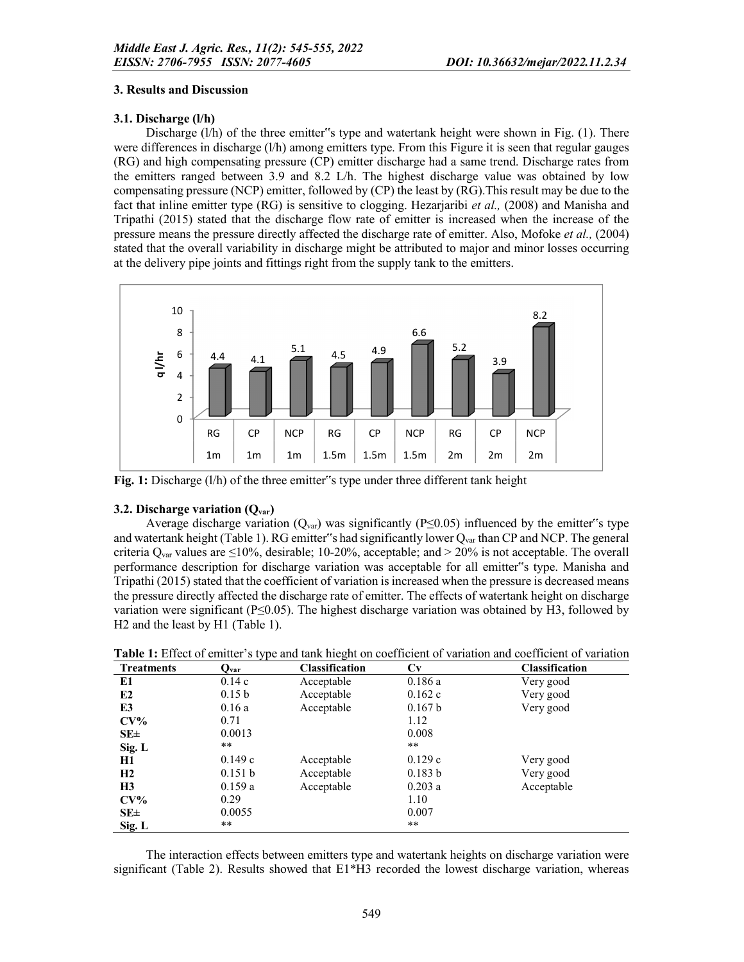# 3. Results and Discussion

# 3.1. Discharge (l/h)

Discharge  $(1/h)$  of the three emitter"s type and watertank height were shown in Fig.  $(1)$ . There were differences in discharge (l/h) among emitters type. From this Figure it is seen that regular gauges (RG) and high compensating pressure (CP) emitter discharge had a same trend. Discharge rates from the emitters ranged between 3.9 and 8.2 L/h. The highest discharge value was obtained by low compensating pressure (NCP) emitter, followed by (CP) the least by (RG).This result may be due to the fact that inline emitter type (RG) is sensitive to clogging. Hezarjaribi *et al.,* (2008) and Manisha and Tripathi (2015) stated that the discharge flow rate of emitter is increased when the increase of the pressure means the pressure directly affected the discharge rate of emitter. Also, Mofoke *et al.,* (2004) stated that the overall variability in discharge might be attributed to major and minor losses occurring at the delivery pipe joints and fittings right from the supply tank to the emitters.



Fig. 1: Discharge (l/h) of the three emitter"s type under three different tank height

# 3.2. Discharge variation  $(O_{var})$

Average discharge variation ( $Q_{var}$ ) was significantly (P≤0.05) influenced by the emitter"s type and watertank height (Table 1). RG emitter "s had significantly lower  $Q_{\text{var}}$  than CP and NCP. The general criteria  $Q_{\text{var}}$  values are  $\leq 10\%$ , desirable; 10-20%, acceptable; and > 20% is not acceptable. The overall performance description for discharge variation was acceptable for all emitter"s type. Manisha and Tripathi (2015) stated that the coefficient of variation is increased when the pressure is decreased means the pressure directly affected the discharge rate of emitter. The effects of watertank height on discharge variation were significant (P≤0.05). The highest discharge variation was obtained by H3, followed by H2 and the least by H1 (Table 1).

| <b>Treatments</b> | Q <sub>var</sub>  | <b>Classification</b> | Сv      | <b>Classification</b> |
|-------------------|-------------------|-----------------------|---------|-----------------------|
| E1                | 0.14c             | Acceptable            | 0.186a  | Very good             |
| E <sub>2</sub>    | 0.15 <sub>b</sub> | Acceptable            | 0.162c  | Very good             |
| E3                | 0.16a             | Acceptable            | 0.167 b | Very good             |
| $CV\%$            | 0.71              |                       | 1.12    |                       |
| $SE\pm$           | 0.0013            |                       | 0.008   |                       |
| Sig. L            | **                |                       | $***$   |                       |
| H1                | 0.149c            | Acceptable            | 0.129c  | Very good             |
| H2                | 0.151 b           | Acceptable            | 0.183 b | Very good             |
| H3                | 0.159a            | Acceptable            | 0.203a  | Acceptable            |
| $CV\%$            | 0.29              |                       | 1.10    |                       |
| $SE\pm$           | 0.0055            |                       | 0.007   |                       |
| Sig. L            | **                |                       | $***$   |                       |

Table 1: Effect of emitter's type and tank hieght on coefficient of variation and coefficient of variation

The interaction effects between emitters type and watertank heights on discharge variation were significant (Table 2). Results showed that E1\*H3 recorded the lowest discharge variation, whereas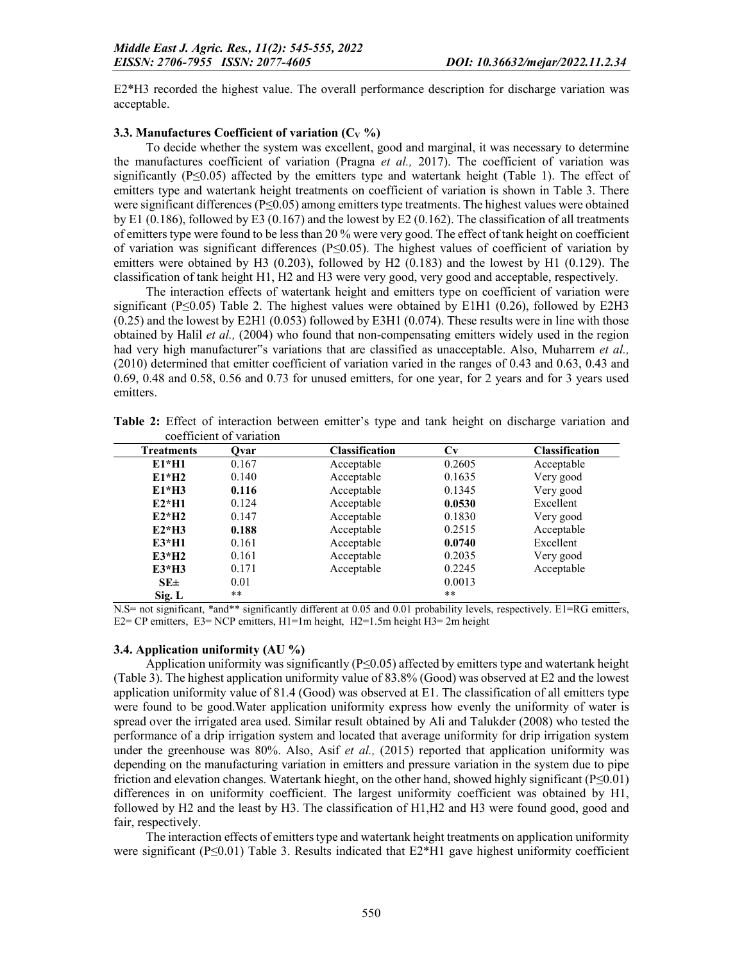E2\*H3 recorded the highest value. The overall performance description for discharge variation was acceptable.

## 3.3. Manufactures Coefficient of variation  $(C_V \%)$

To decide whether the system was excellent, good and marginal, it was necessary to determine the manufactures coefficient of variation (Pragna *et al.,* 2017). The coefficient of variation was significantly  $(P \le 0.05)$  affected by the emitters type and watertank height (Table 1). The effect of emitters type and watertank height treatments on coefficient of variation is shown in Table 3. There were significant differences (P≤0.05) among emitters type treatments. The highest values were obtained by E1 (0.186), followed by E3 (0.167) and the lowest by E2 (0.162). The classification of all treatments of emitters type were found to be less than 20 % were very good. The effect of tank height on coefficient of variation was significant differences (P≤0.05). The highest values of coefficient of variation by emitters were obtained by H3 (0.203), followed by H2 (0.183) and the lowest by H1 (0.129). The classification of tank height H1, H2 and H3 were very good, very good and acceptable, respectively.

The interaction effects of watertank height and emitters type on coefficient of variation were significant ( $P \le 0.05$ ) Table 2. The highest values were obtained by E1H1 (0.26), followed by E2H3 (0.25) and the lowest by E2H1 (0.053) followed by E3H1 (0.074). These results were in line with those obtained by Halil *et al.,* (2004) who found that non-compensating emitters widely used in the region had very high manufacturer"s variations that are classified as unacceptable. Also, Muharrem *et al.,*  (2010) determined that emitter coefficient of variation varied in the ranges of 0.43 and 0.63, 0.43 and 0.69, 0.48 and 0.58, 0.56 and 0.73 for unused emitters, for one year, for 2 years and for 3 years used emitters.

|                   | 000 - 1110 - 1011 - 1011 - 1011 - 1011 - 112 |                       |        |                       |
|-------------------|----------------------------------------------|-----------------------|--------|-----------------------|
| <b>Treatments</b> | Ovar                                         | <b>Classification</b> | Cv     | <b>Classification</b> |
| $E1*H1$           | 0.167                                        | Acceptable            | 0.2605 | Acceptable            |
| $E1*H2$           | 0.140                                        | Acceptable            | 0.1635 | Very good             |
| $E1*H3$           | 0.116                                        | Acceptable            | 0.1345 | Very good             |
| $E2*H1$           | 0.124                                        | Acceptable            | 0.0530 | Excellent             |
| $E2*H2$           | 0.147                                        | Acceptable            | 0.1830 | Very good             |
| $E2*H3$           | 0.188                                        | Acceptable            | 0.2515 | Acceptable            |
| $E3*H1$           | 0.161                                        | Acceptable            | 0.0740 | Excellent             |
| $E3*H2$           | 0.161                                        | Acceptable            | 0.2035 | Very good             |
| $E3*H3$           | 0.171                                        | Acceptable            | 0.2245 | Acceptable            |
| $SE \pm$          | 0.01                                         |                       | 0.0013 |                       |
| Sig. L            | **                                           |                       | **     |                       |

Table 2: Effect of interaction between emitter's type and tank height on discharge variation and coefficient of variation

N.S= not significant, \*and\*\* significantly different at 0.05 and 0.01 probability levels, respectively. E1=RG emitters, E2= CP emitters, E3= NCP emitters, H1=1m height, H2=1.5m height H3= 2m height

### 3.4. Application uniformity (AU %)

Application uniformity was significantly  $(P \le 0.05)$  affected by emitters type and watertank height (Table 3). The highest application uniformity value of 83.8% (Good) was observed at E2 and the lowest application uniformity value of 81.4 (Good) was observed at E1. The classification of all emitters type were found to be good.Water application uniformity express how evenly the uniformity of water is spread over the irrigated area used. Similar result obtained by Ali and Talukder (2008) who tested the performance of a drip irrigation system and located that average uniformity for drip irrigation system under the greenhouse was 80%. Also, Asif *et al.,* (2015) reported that application uniformity was depending on the manufacturing variation in emitters and pressure variation in the system due to pipe friction and elevation changes. Watertank hieght, on the other hand, showed highly significant ( $P \le 0.01$ ) differences in on uniformity coefficient. The largest uniformity coefficient was obtained by H1, followed by H2 and the least by H3. The classification of H1,H2 and H3 were found good, good and fair, respectively.

The interaction effects of emitters type and watertank height treatments on application uniformity were significant (P $\leq 0.01$ ) Table 3. Results indicated that E2\*H1 gave highest uniformity coefficient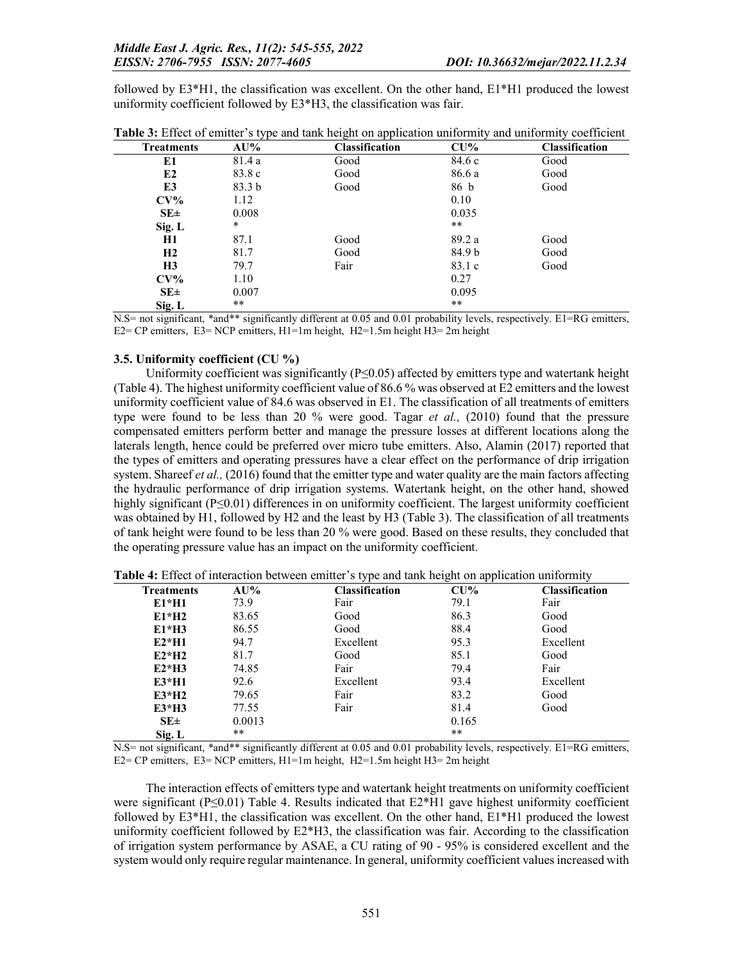followed by E3\*H1, the classification was excellent. On the other hand, E1\*H1 produced the lowest uniformity coefficient followed by E3\*H3, the classification was fair.

| <b>Treatments</b> | $\cdot$ $\cdot$<br>AU% | ັ<br>. .<br><b>Classification</b> | $\checkmark$<br>$CU\%$ | $\checkmark$<br><b>Classification</b> |
|-------------------|------------------------|-----------------------------------|------------------------|---------------------------------------|
| E1                | 81.4 a                 | Good                              | 84.6 c                 | Good                                  |
| E2                | 83.8 c                 | Good                              | 86.6 a                 | Good                                  |
| E3                | 83.3 <sub>b</sub>      | Good                              | 86 b                   | Good                                  |
| $CV\%$            | 1.12                   |                                   | 0.10                   |                                       |
| $SE\pm$           | 0.008                  |                                   | 0.035                  |                                       |
| Sig. L            | $\ast$                 |                                   | $***$                  |                                       |
| <b>H1</b>         | 87.1                   | Good                              | 89.2 a                 | Good                                  |
| H2                | 81.7                   | Good                              | 84.9 b                 | Good                                  |
| H <sub>3</sub>    | 79.7                   | Fair                              | 83.1 c                 | Good                                  |
| $CV\%$            | 1.10                   |                                   | 0.27                   |                                       |
| $SE\pm$           | 0.007                  |                                   | 0.095                  |                                       |
| Sig. L            | **                     |                                   | $***$                  |                                       |

| Table 3: Effect of emitter's type and tank height on application uniformity and uniformity coefficient |  |  |  |
|--------------------------------------------------------------------------------------------------------|--|--|--|
|                                                                                                        |  |  |  |

N.S= not significant, \*and\*\* significantly different at 0.05 and 0.01 probability levels, respectively. E1=RG emitters, E2= CP emitters, E3= NCP emitters, H1=1m height, H2=1.5m height H3= 2m height

## 3.5. Uniformity coefficient (CU %)

Uniformity coefficient was significantly (P≤0.05) affected by emitters type and watertank height (Table 4). The highest uniformity coefficient value of 86.6 % was observed at E2 emitters and the lowest uniformity coefficient value of 84.6 was observed in E1. The classification of all treatments of emitters type were found to be less than 20 % were good. Tagar *et al.,* (2010) found that the pressure compensated emitters perform better and manage the pressure losses at different locations along the laterals length, hence could be preferred over micro tube emitters. Also, Alamin (2017) reported that the types of emitters and operating pressures have a clear effect on the performance of drip irrigation system. Shareef *et al.*, (2016) found that the emitter type and water quality are the main factors affecting the hydraulic performance of drip irrigation systems. Watertank height, on the other hand, showed highly significant (P≤0.01) differences in on uniformity coefficient. The largest uniformity coefficient was obtained by H1, followed by H2 and the least by H3 (Table 3). The classification of all treatments of tank height were found to be less than 20 % were good. Based on these results, they concluded that the operating pressure value has an impact on the uniformity coefficient.

| <b>Treatments</b> | AU%    | <b>Classification</b> | $CU\%$ | <b>Classification</b> |
|-------------------|--------|-----------------------|--------|-----------------------|
| $E1*H1$           | 73.9   | Fair                  | 79.1   | Fair                  |
| $E1*H2$           | 83.65  | Good                  | 86.3   | Good                  |
| $E1*H3$           | 86.55  | Good                  | 88.4   | Good                  |
| $E2*H1$           | 94.7   | Excellent             | 95.3   | Excellent             |
| $E2*H2$           | 81.7   | Good                  | 85.1   | Good                  |
| $E2*H3$           | 74.85  | Fair                  | 79.4   | Fair                  |
| $E3*H1$           | 92.6   | Excellent             | 93.4   | Excellent             |
| $E3*H2$           | 79.65  | Fair                  | 83.2   | Good                  |
| $E3*H3$           | 77.55  | Fair                  | 81.4   | Good                  |
| $SE \pm$          | 0.0013 |                       | 0.165  |                       |
| Sig. L            | **     |                       | **     |                       |
|                   |        |                       |        |                       |

Table 4: Effect of interaction between emitter's type and tank height on application uniformity

N.S= not significant, \*and\*\* significantly different at 0.05 and 0.01 probability levels, respectively. E1=RG emitters, E2= CP emitters, E3= NCP emitters, H1=1m height, H2=1.5m height H3= 2m height

The interaction effects of emitters type and watertank height treatments on uniformity coefficient were significant ( $P \le 0.01$ ) Table 4. Results indicated that  $E2*H1$  gave highest uniformity coefficient followed by E3\*H1, the classification was excellent. On the other hand, E1\*H1 produced the lowest uniformity coefficient followed by E2\*H3, the classification was fair. According to the classification of irrigation system performance by ASAE, a CU rating of 90 - 95% is considered excellent and the system would only require regular maintenance. In general, uniformity coefficient values increased with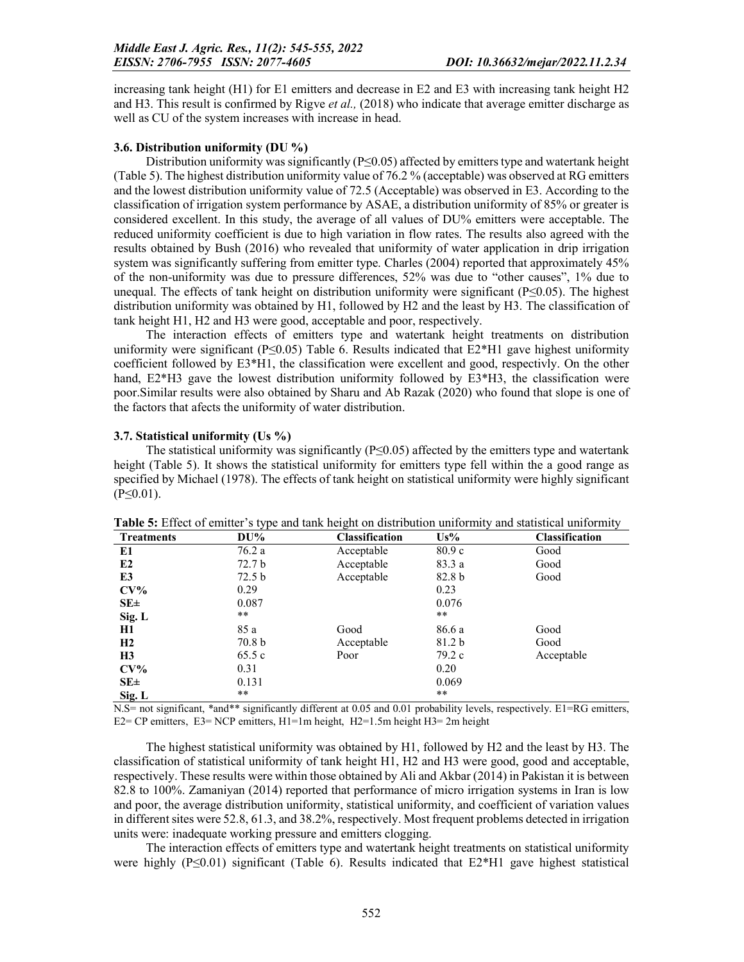increasing tank height (H1) for E1 emitters and decrease in E2 and E3 with increasing tank height H2 and H3. This result is confirmed by Rigve *et al.,* (2018) who indicate that average emitter discharge as well as CU of the system increases with increase in head.

# 3.6. Distribution uniformity (DU %)

Distribution uniformity was significantly  $(P \le 0.05)$  affected by emitters type and watertank height (Table 5). The highest distribution uniformity value of 76.2 % (acceptable) was observed at RG emitters and the lowest distribution uniformity value of 72.5 (Acceptable) was observed in E3. According to the classification of irrigation system performance by ASAE, a distribution uniformity of 85% or greater is considered excellent. In this study, the average of all values of DU% emitters were acceptable. The reduced uniformity coefficient is due to high variation in flow rates. The results also agreed with the results obtained by Bush (2016) who revealed that uniformity of water application in drip irrigation system was significantly suffering from emitter type. Charles (2004) reported that approximately 45% of the non-uniformity was due to pressure differences, 52% was due to "other causes", 1% due to unequal. The effects of tank height on distribution uniformity were significant ( $P \le 0.05$ ). The highest distribution uniformity was obtained by H1, followed by H2 and the least by H3. The classification of tank height H1, H2 and H3 were good, acceptable and poor, respectively.

The interaction effects of emitters type and watertank height treatments on distribution uniformity were significant (P≤0.05) Table 6. Results indicated that  $E2*H1$  gave highest uniformity coefficient followed by E3\*H1, the classification were excellent and good, respectivly. On the other hand, E2\*H3 gave the lowest distribution uniformity followed by E3\*H3, the classification were poor.Similar results were also obtained by Sharu and Ab Razak (2020) who found that slope is one of the factors that afects the uniformity of water distribution.

### 3.7. Statistical uniformity (Us %)

The statistical uniformity was significantly ( $P \le 0.05$ ) affected by the emitters type and watertank height (Table 5). It shows the statistical uniformity for emitters type fell within the a good range as specified by Michael (1978). The effects of tank height on statistical uniformity were highly significant  $(P \le 0.01)$ .

| <b>Treatments</b> | $DU\%$            | <b>Classification</b> | Us%               | <b>Classification</b> |
|-------------------|-------------------|-----------------------|-------------------|-----------------------|
| E1                | 76.2 a            | Acceptable            | 80.9c             | Good                  |
| E <sub>2</sub>    | 72.7 b            | Acceptable            | 83.3 a            | Good                  |
| E3                | 72.5 <sub>b</sub> | Acceptable            | 82.8 <sub>b</sub> | Good                  |
| $CV\%$            | 0.29              |                       | 0.23              |                       |
| $SE\pm$           | 0.087             |                       | 0.076             |                       |
| Sig. L            | **                |                       | **                |                       |
| H1                | 85 a              | Good                  | 86.6 a            | Good                  |
| H2                | 70.8 <sub>b</sub> | Acceptable            | 81.2 b            | Good                  |
| H <sub>3</sub>    | 65.5c             | Poor                  | 79.2 c            | Acceptable            |
| $CV\%$            | 0.31              |                       | 0.20              |                       |
| $SE\pm$           | 0.131             |                       | 0.069             |                       |
| Sig. L            | **                |                       | $***$             |                       |

Table 5: Effect of emitter's type and tank height on distribution uniformity and statistical uniformity

N.S= not significant, \*and\*\* significantly different at 0.05 and 0.01 probability levels, respectively. E1=RG emitters, E2= CP emitters, E3= NCP emitters, H1=1m height, H2=1.5m height H3= 2m height

The highest statistical uniformity was obtained by H1, followed by H2 and the least by H3. The classification of statistical uniformity of tank height H1, H2 and H3 were good, good and acceptable, respectively. These results were within those obtained by Ali and Akbar (2014) in Pakistan it is between 82.8 to 100%. Zamaniyan (2014) reported that performance of micro irrigation systems in Iran is low and poor, the average distribution uniformity, statistical uniformity, and coefficient of variation values in different sites were 52.8, 61.3, and 38.2%, respectively. Most frequent problems detected in irrigation units were: inadequate working pressure and emitters clogging.

The interaction effects of emitters type and watertank height treatments on statistical uniformity were highly  $(P \le 0.01)$  significant (Table 6). Results indicated that  $E2*H1$  gave highest statistical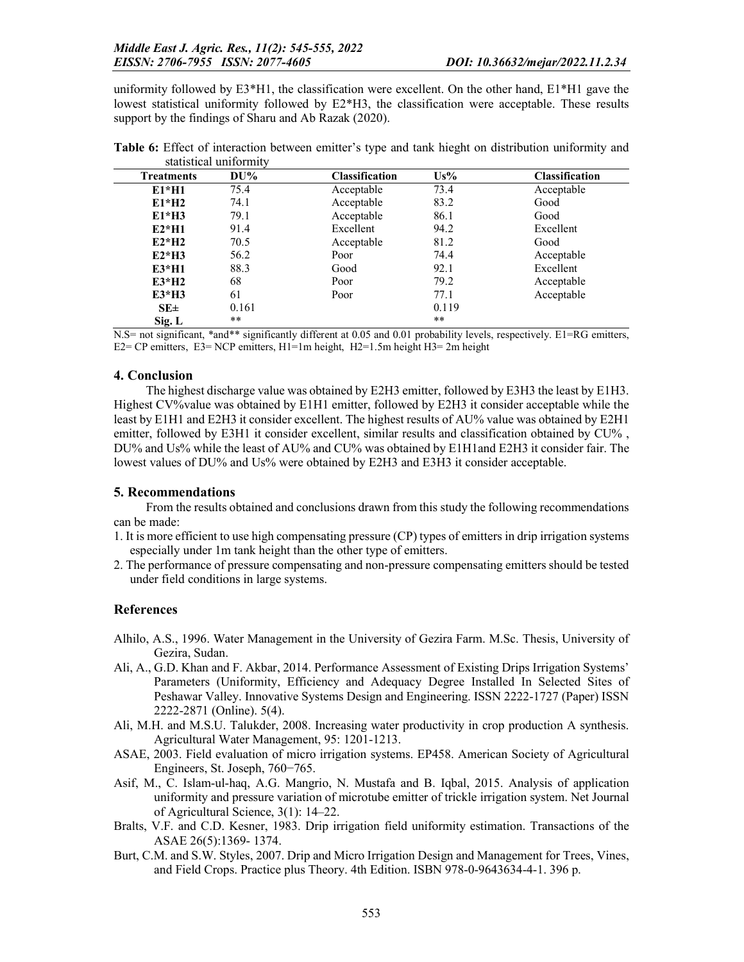uniformity followed by  $E3*H1$ , the classification were excellent. On the other hand,  $E1*H1$  gave the lowest statistical uniformity followed by E2\*H3, the classification were acceptable. These results support by the findings of Sharu and Ab Razak (2020).

| <b>Treatments</b> | $DU\%$ | <b>Classification</b> | $Us\%$ | <b>Classification</b> |
|-------------------|--------|-----------------------|--------|-----------------------|
| $E1*H1$           | 75.4   | Acceptable            | 73.4   | Acceptable            |
| $E1*H2$           | 74.1   | Acceptable            | 83.2   | Good                  |
| $E1*H3$           | 79.1   | Acceptable            | 86.1   | Good                  |
| $E2*H1$           | 91.4   | Excellent             | 94.2   | Excellent             |
| $E2*H2$           | 70.5   | Acceptable            | 81.2   | Good                  |
| $E2*H3$           | 56.2   | Poor                  | 74.4   | Acceptable            |
| $E3*H1$           | 88.3   | Good                  | 92.1   | Excellent             |
| $E3*H2$           | 68     | Poor                  | 79.2   | Acceptable            |
| $E3*H3$           | 61     | Poor                  | 77.1   | Acceptable            |
| $SE \pm$          | 0.161  |                       | 0.119  |                       |
| Sig. L            | **     |                       | **     |                       |

Table 6: Effect of interaction between emitter's type and tank hieght on distribution uniformity and statistical uniformity

N.S= not significant, \*and\*\* significantly different at 0.05 and 0.01 probability levels, respectively. E1=RG emitters, E2= CP emitters, E3= NCP emitters, H1=1m height, H2=1.5m height H3= 2m height

### 4. Conclusion

The highest discharge value was obtained by E2H3 emitter, followed by E3H3 the least by E1H3. Highest CV%value was obtained by E1H1 emitter, followed by E2H3 it consider acceptable while the least by E1H1 and E2H3 it consider excellent. The highest results of AU% value was obtained by E2H1 emitter, followed by E3H1 it consider excellent, similar results and classification obtained by CU% , DU% and Us% while the least of AU% and CU% was obtained by E1H1and E2H3 it consider fair. The lowest values of DU% and Us% were obtained by E2H3 and E3H3 it consider acceptable.

### 5. Recommendations

From the results obtained and conclusions drawn from this study the following recommendations can be made:

- 1. It is more efficient to use high compensating pressure (CP) types of emitters in drip irrigation systems especially under 1m tank height than the other type of emitters.
- 2. The performance of pressure compensating and non-pressure compensating emitters should be tested under field conditions in large systems.

# **References**

- Alhilo, A.S., 1996. Water Management in the University of Gezira Farm. M.Sc. Thesis, University of Gezira, Sudan.
- Ali, A., G.D. Khan and F. Akbar, 2014. Performance Assessment of Existing Drips Irrigation Systems' Parameters (Uniformity, Efficiency and Adequacy Degree Installed In Selected Sites of Peshawar Valley. Innovative Systems Design and Engineering. ISSN 2222-1727 (Paper) ISSN 2222-2871 (Online). 5(4).
- Ali, M.H. and M.S.U. Talukder, 2008. Increasing water productivity in crop production A synthesis. Agricultural Water Management, 95: 1201-1213.
- ASAE, 2003. Field evaluation of micro irrigation systems. EP458. American Society of Agricultural Engineers, St. Joseph, 760−765.
- Asif, M., C. Islam-ul-haq, A.G. Mangrio, N. Mustafa and B. Iqbal, 2015. Analysis of application uniformity and pressure variation of microtube emitter of trickle irrigation system. Net Journal of Agricultural Science, 3(1): 14–22.
- Bralts, V.F. and C.D. Kesner, 1983. Drip irrigation field uniformity estimation. Transactions of the ASAE 26(5):1369- 1374.
- Burt, C.M. and S.W. Styles, 2007. Drip and Micro Irrigation Design and Management for Trees, Vines, and Field Crops. Practice plus Theory. 4th Edition. ISBN 978-0-9643634-4-1. 396 p.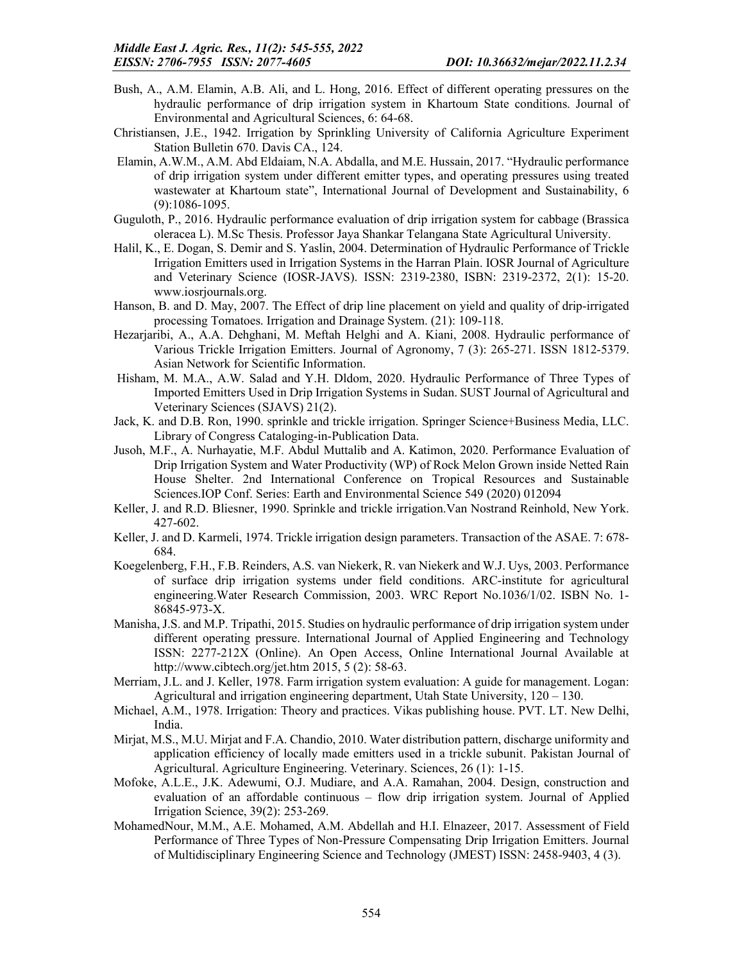- Bush, A., A.M. Elamin, A.B. Ali, and L. Hong, 2016. Effect of different operating pressures on the hydraulic performance of drip irrigation system in Khartoum State conditions. Journal of Environmental and Agricultural Sciences, 6: 64-68.
- Christiansen, J.E., 1942. Irrigation by Sprinkling University of California Agriculture Experiment Station Bulletin 670. Davis CA., 124.
- Elamin, A.W.M., A.M. Abd Eldaiam, N.A. Abdalla, and M.E. Hussain, 2017. "Hydraulic performance of drip irrigation system under different emitter types, and operating pressures using treated wastewater at Khartoum state", International Journal of Development and Sustainability, 6 (9):1086-1095.
- Guguloth, P., 2016. Hydraulic performance evaluation of drip irrigation system for cabbage (Brassica oleracea L). M.Sc Thesis. Professor Jaya Shankar Telangana State Agricultural University.
- Halil, K., E. Dogan, S. Demir and S. Yaslin, 2004. Determination of Hydraulic Performance of Trickle Irrigation Emitters used in Irrigation Systems in the Harran Plain. IOSR Journal of Agriculture and Veterinary Science (IOSR-JAVS). ISSN: 2319-2380, ISBN: 2319-2372, 2(1): 15-20. www.iosrjournals.org.
- Hanson, B. and D. May, 2007. The Effect of drip line placement on yield and quality of drip-irrigated processing Tomatoes. Irrigation and Drainage System. (21): 109-118.
- Hezarjaribi, A., A.A. Dehghani, M. Meftah Helghi and A. Kiani, 2008. Hydraulic performance of Various Trickle Irrigation Emitters. Journal of Agronomy, 7 (3): 265-271. ISSN 1812-5379. Asian Network for Scientific Information.
- Hisham, M. M.A., A.W. Salad and Y.H. Dldom, 2020. Hydraulic Performance of Three Types of Imported Emitters Used in Drip Irrigation Systems in Sudan. SUST Journal of Agricultural and Veterinary Sciences (SJAVS) 21(2).
- Jack, K. and D.B. Ron, 1990. sprinkle and trickle irrigation. Springer Science+Business Media, LLC. Library of Congress Cataloging-in-Publication Data.
- Jusoh, M.F., A. Nurhayatie, M.F. Abdul Muttalib and A. Katimon, 2020. Performance Evaluation of Drip Irrigation System and Water Productivity (WP) of Rock Melon Grown inside Netted Rain House Shelter. 2nd International Conference on Tropical Resources and Sustainable Sciences.IOP Conf. Series: Earth and Environmental Science 549 (2020) 012094
- Keller, J. and R.D. Bliesner, 1990. Sprinkle and trickle irrigation.Van Nostrand Reinhold, New York. 427-602.
- Keller, J. and D. Karmeli, 1974. Trickle irrigation design parameters. Transaction of the ASAE. 7: 678- 684.
- Koegelenberg, F.H., F.B. Reinders, A.S. van Niekerk, R. van Niekerk and W.J. Uys, 2003. Performance of surface drip irrigation systems under field conditions. ARC-institute for agricultural engineering.Water Research Commission, 2003. WRC Report No.1036/1/02. ISBN No. 1- 86845-973-X.
- Manisha, J.S. and M.P. Tripathi, 2015. Studies on hydraulic performance of drip irrigation system under different operating pressure. International Journal of Applied Engineering and Technology ISSN: 2277-212X (Online). An Open Access, Online International Journal Available at http://www.cibtech.org/jet.htm 2015, 5 (2): 58-63.
- Merriam, J.L. and J. Keller, 1978. Farm irrigation system evaluation: A guide for management. Logan: Agricultural and irrigation engineering department, Utah State University, 120 – 130.
- Michael, A.M., 1978. Irrigation: Theory and practices. Vikas publishing house. PVT. LT. New Delhi, India.
- Mirjat, M.S., M.U. Mirjat and F.A. Chandio, 2010. Water distribution pattern, discharge uniformity and application efficiency of locally made emitters used in a trickle subunit. Pakistan Journal of Agricultural. Agriculture Engineering. Veterinary. Sciences, 26 (1): 1-15.
- Mofoke, A.L.E., J.K. Adewumi, O.J. Mudiare, and A.A. Ramahan, 2004. Design, construction and evaluation of an affordable continuous – flow drip irrigation system. Journal of Applied Irrigation Science, 39(2): 253-269.
- MohamedNour, M.M., A.E. Mohamed, A.M. Abdellah and H.I. Elnazeer, 2017. Assessment of Field Performance of Three Types of Non-Pressure Compensating Drip Irrigation Emitters. Journal of Multidisciplinary Engineering Science and Technology (JMEST) ISSN: 2458-9403, 4 (3).